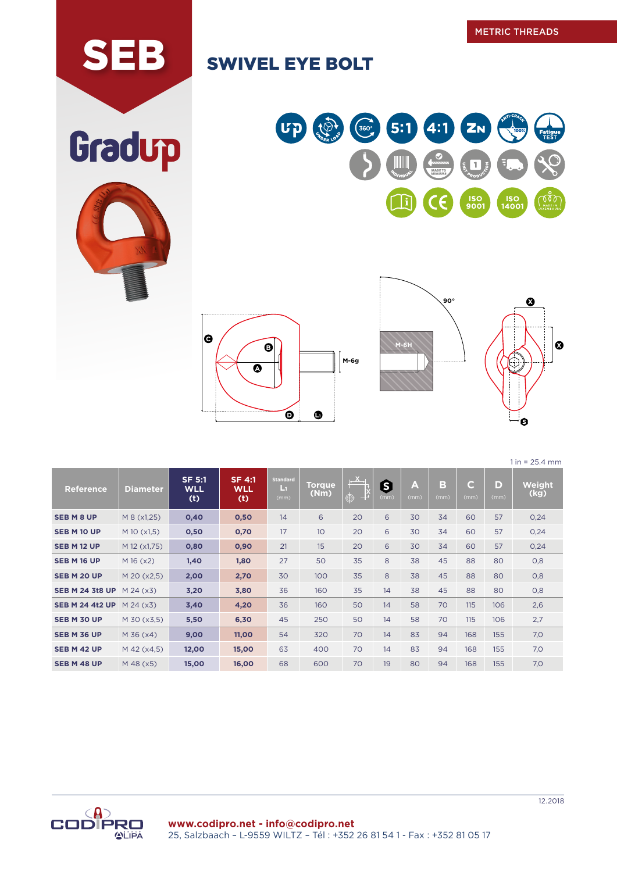## SEB SWIVEL EYE BOLT







 $1 in = 25.4 mm$ 

| <b>Reference</b>                 | <b>Diameter</b>   | <b>SF 5:1</b><br><b>WLL</b><br>(t) | <b>SF 4:1</b><br><b>WLL</b><br>(t) | <b>Standard</b><br>Lт<br>(mm) | Torque<br>(Nm) | $\frac{1}{2}$<br>$\bigoplus$<br>⊥⊉ | 8<br>(mm) | A<br>(mm) | B<br>(mm) | $\overline{\mathsf{C}}$<br>(mm) | D<br>(mm) | Weight<br>(kg) |
|----------------------------------|-------------------|------------------------------------|------------------------------------|-------------------------------|----------------|------------------------------------|-----------|-----------|-----------|---------------------------------|-----------|----------------|
| <b>SEB M 8 UP</b>                | M 8 (x1,25)       | 0,40                               | 0,50                               | 14                            | 6              | 20                                 | 6         | 30        | 34        | 60                              | 57        | 0,24           |
| <b>SEB M 10 UP</b>               | $M$ 10 ( $x1,5$ ) | 0,50                               | 0,70                               | 17                            | 10             | 20                                 | 6         | 30        | 34        | 60                              | 57        | 0,24           |
| <b>SEB M 12 UP</b>               | M 12 (x1,75)      | 0,80                               | 0,90                               | 21                            | 15             | 20                                 | 6         | 30        | 34        | 60                              | 57        | 0,24           |
| <b>SEB M 16 UP</b>               | M 16 (x2)         | 1,40                               | 1,80                               | 27                            | 50             | 35                                 | 8         | 38        | 45        | 88                              | 80        | 0,8            |
| SEB M 20 UP                      | M 20 (x2,5)       | 2,00                               | 2,70                               | 30                            | 100            | 35                                 | 8         | 38        | 45        | 88                              | 80        | 0,8            |
| <b>SEB M 24 3t8 UP</b> M 24 (x3) |                   | 3,20                               | 3,80                               | 36                            | 160            | 35                                 | 14        | 38        | 45        | 88                              | 80        | 0,8            |
| <b>SEB M 24 4t2 UP</b> M 24 (x3) |                   | 3,40                               | 4,20                               | 36                            | 160            | 50                                 | 14        | 58        | 70        | 115                             | 106       | 2,6            |
| SEB M 30 UP                      | M 30 (x3,5)       | 5,50                               | 6,30                               | 45                            | 250            | 50                                 | 14        | 58        | 70        | 115                             | 106       | 2,7            |
| SEB M 36 UP                      | $M$ 36 ( $x$ 4)   | 9,00                               | 11,00                              | 54                            | 320            | 70                                 | 14        | 83        | 94        | 168                             | 155       | 7,0            |
| SEB M 42 UP                      | $M$ 42 ( $x$ 4,5) | 12,00                              | 15,00                              | 63                            | 400            | 70                                 | 14        | 83        | 94        | 168                             | 155       | 7,0            |
| SEB M 48 UP                      | $M$ 48 ( $x5$ )   | 15,00                              | 16,00                              | 68                            | 600            | 70                                 | 19        | 80        | 94        | 168                             | 155       | 7,0            |



Gradup